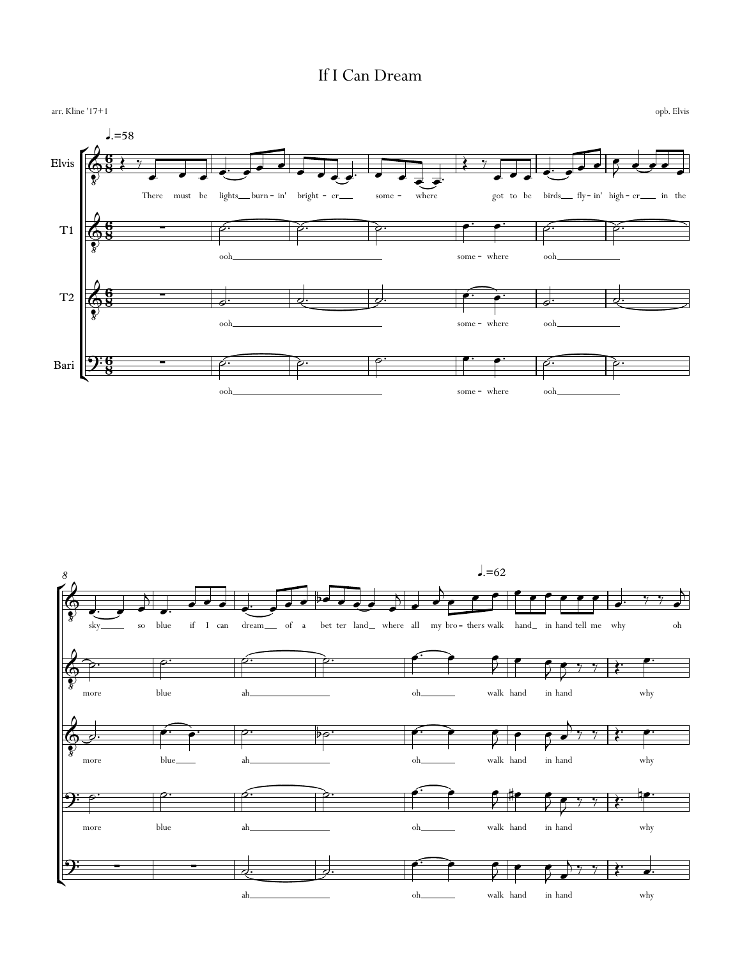## If <sup>I</sup> Can Dream



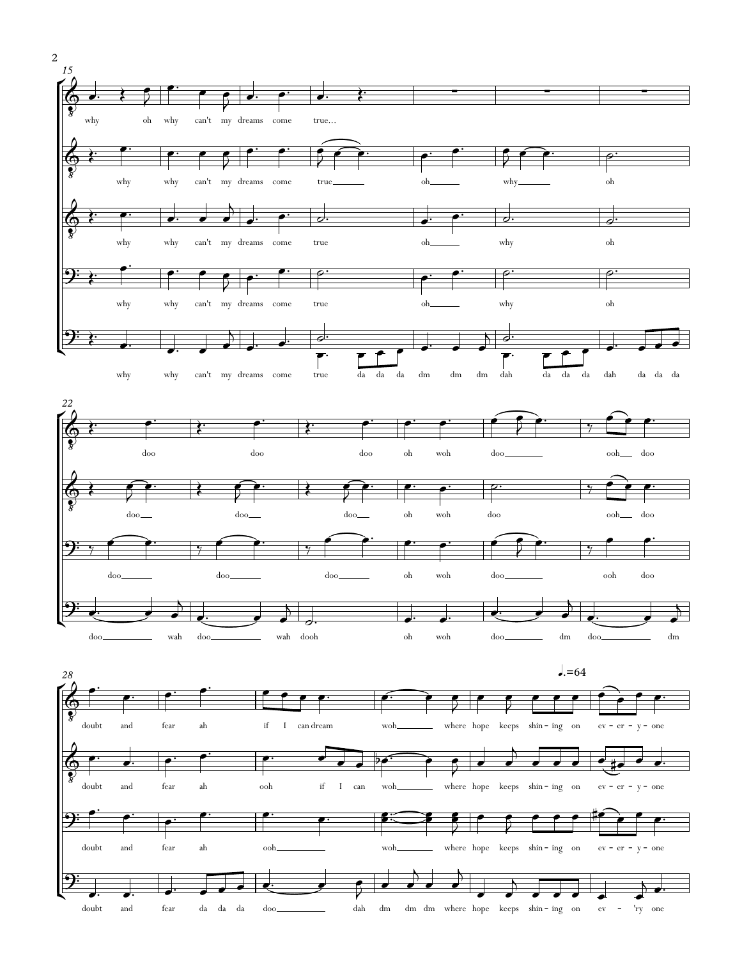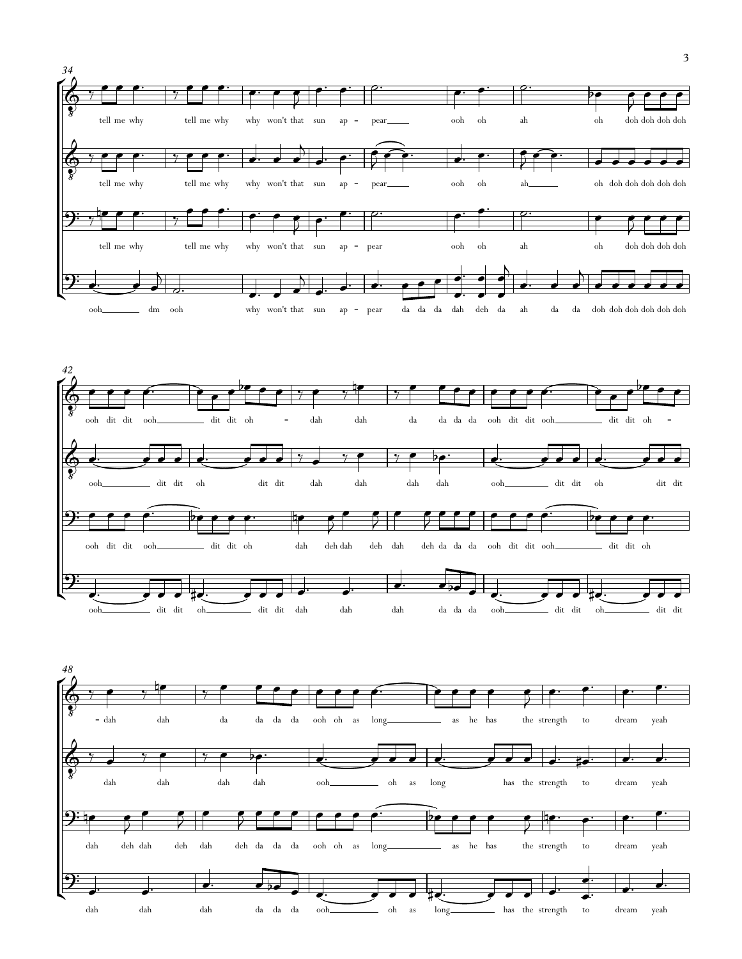

![](_page_2_Figure_1.jpeg)

![](_page_2_Figure_2.jpeg)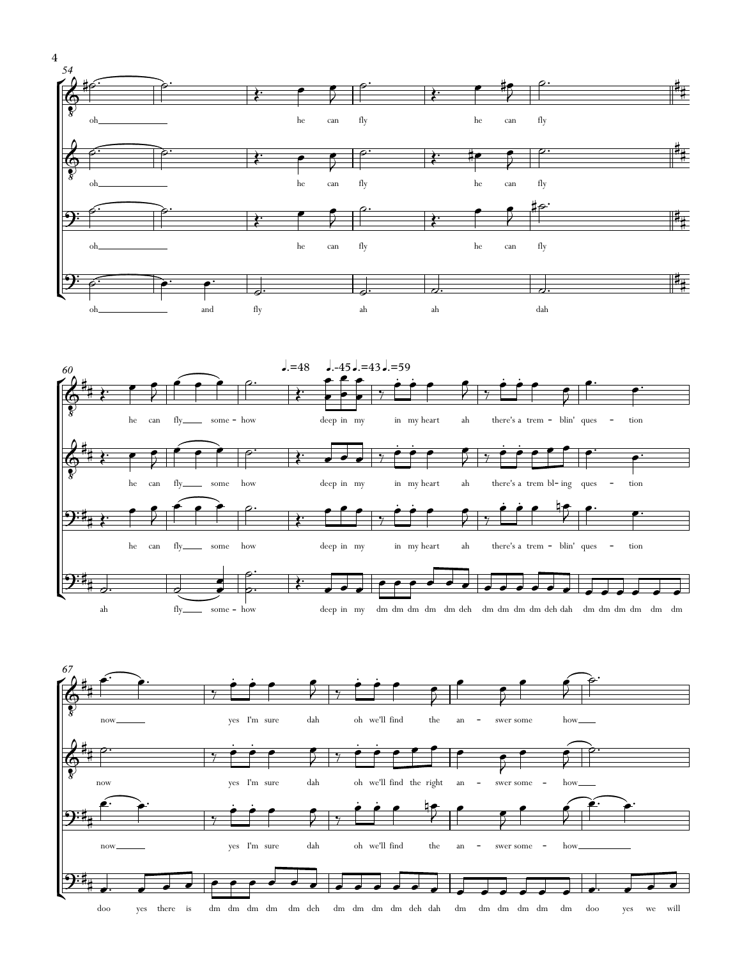![](_page_3_Figure_0.jpeg)

![](_page_3_Figure_1.jpeg)

![](_page_3_Figure_2.jpeg)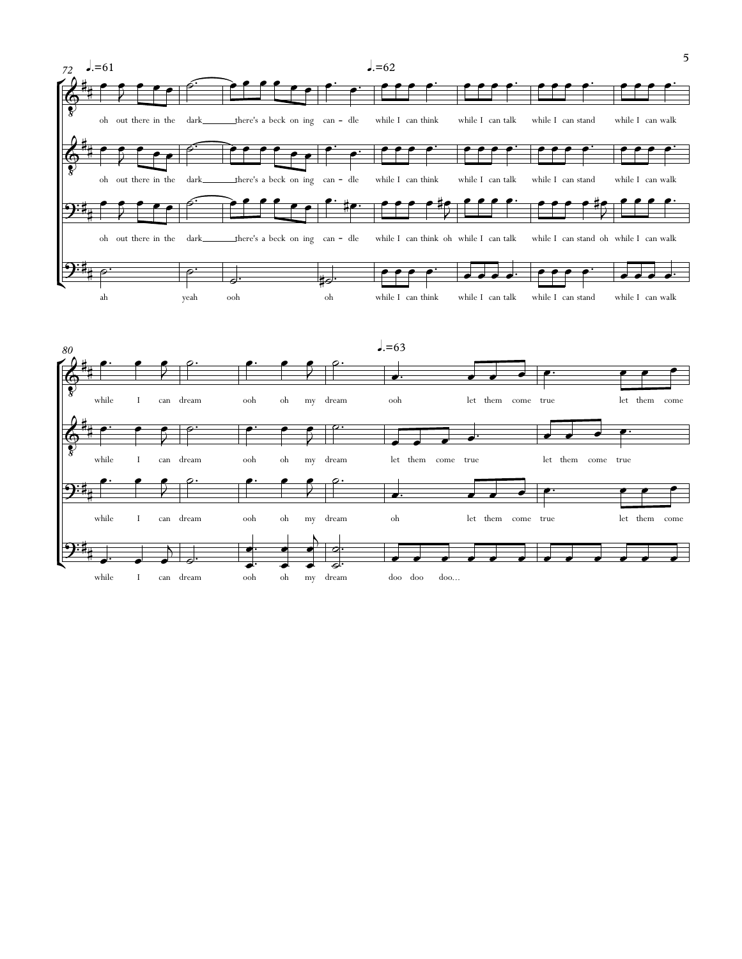![](_page_4_Figure_0.jpeg)

![](_page_4_Figure_1.jpeg)